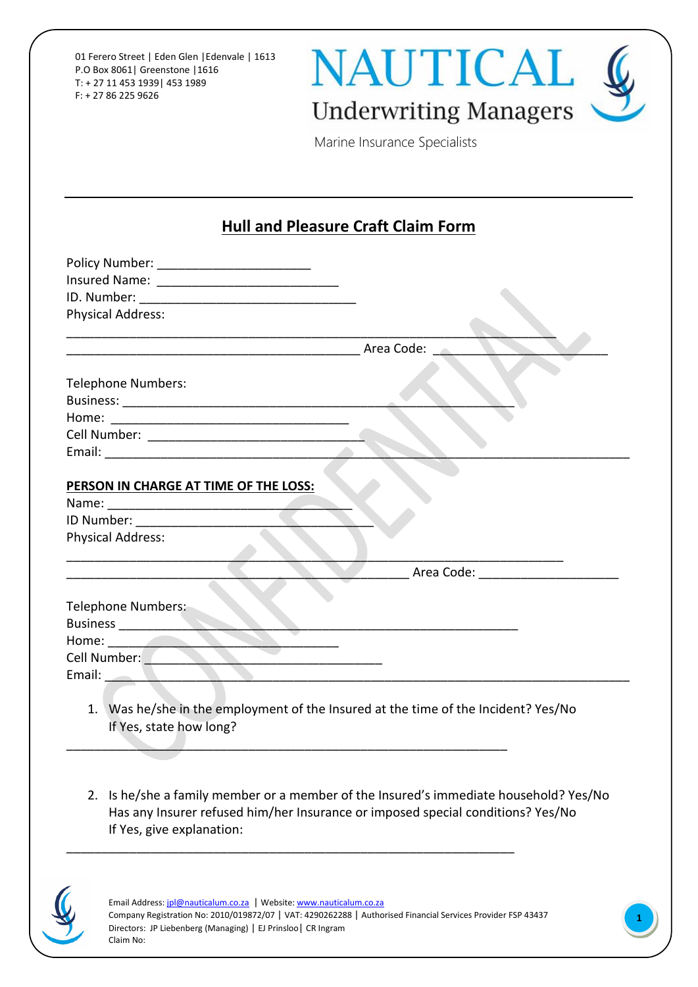01 Ferero Street | Eden Glen |Edenvale | 1613 P.O Box 8061| Greenstone |1616 T: + 27 11 453 1939| 453 1989 F: + 27 86 225 9626



Marine Insurance Specialists

## **Hull and Pleasure Craft Claim Form**

| <b>Physical Address:</b>                                                                                      |                              |
|---------------------------------------------------------------------------------------------------------------|------------------------------|
|                                                                                                               |                              |
| <b>Area Code:</b>                                                                                             |                              |
| <b>Telephone Numbers:</b>                                                                                     |                              |
|                                                                                                               |                              |
|                                                                                                               |                              |
|                                                                                                               |                              |
|                                                                                                               |                              |
|                                                                                                               |                              |
| PERSON IN CHARGE AT TIME OF THE LOSS:                                                                         |                              |
|                                                                                                               |                              |
|                                                                                                               |                              |
| <b>Physical Address:</b>                                                                                      |                              |
|                                                                                                               |                              |
|                                                                                                               | Area Code: Annual Area Code: |
|                                                                                                               |                              |
| <b>Telephone Numbers:</b>                                                                                     |                              |
| <b>Business</b>                                                                                               |                              |
| Home: <b>All Accounts</b>                                                                                     |                              |
| Cell Number: 2008                                                                                             |                              |
| Email: No. 1999                                                                                               |                              |
|                                                                                                               |                              |
| 1. Was he/she in the employment of the Insured at the time of the Incident? Yes/No<br>If Yes, state how long? |                              |

2. Is he/she a family member or a member of the Insured's immediate household? Yes/No Has any Insurer refused him/her Insurance or imposed special conditions? Yes/No If Yes, give explanation:



Email Address[: jpl@nauticalum.co.za](mailto:jpl@nauticalum.co.za) | Website[: www.nauticalum.co.za](http://www.nauticalum.co.za/) Company Registration No: 2010/019872/07 | VAT: 4290262288 | Authorised Financial Services Provider FSP 43437 Directors: JP Liebenberg (Managing) | EJ Prinsloo| CR Ingram Claim No:

\_\_\_\_\_\_\_\_\_\_\_\_\_\_\_\_\_\_\_\_\_\_\_\_\_\_\_\_\_\_\_\_\_\_\_\_\_\_\_\_\_\_\_\_\_\_\_\_\_\_\_\_\_\_\_\_\_\_\_\_\_\_\_\_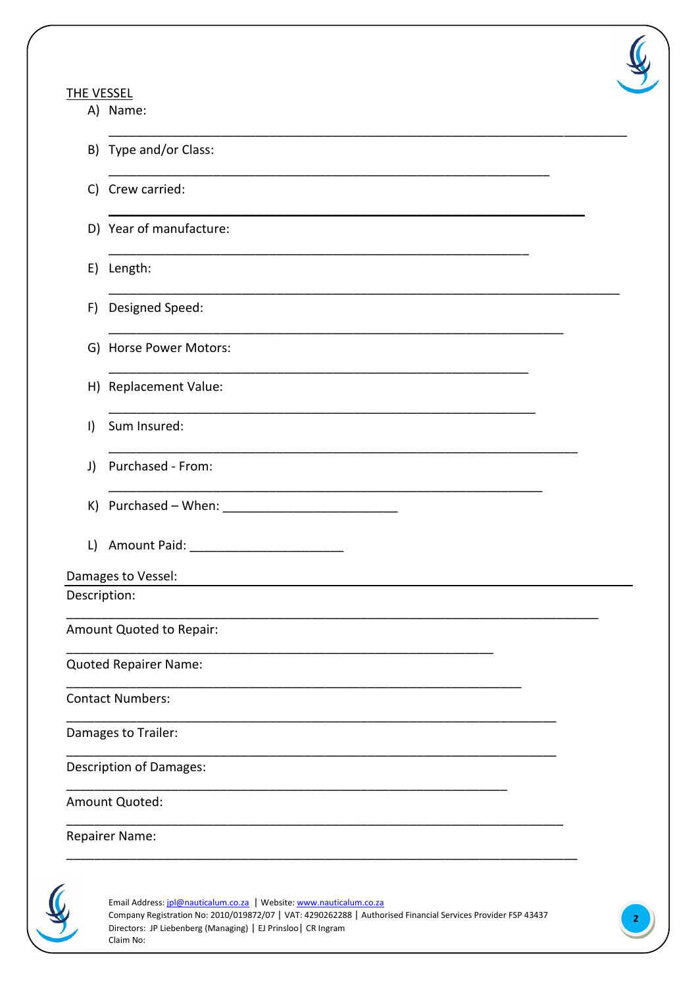## **THE VESSEL**

A) Name:



|              | B) Type and/or Class:                    |
|--------------|------------------------------------------|
| C)           | Crew carried:                            |
|              | D) Year of manufacture:                  |
|              | E) Length:                               |
| F)           | Designed Speed:                          |
|              | G) Horse Power Motors:                   |
|              | H) Replacement Value:                    |
| $\vert$      | Sum Insured:                             |
| J)           | Purchased - From:                        |
|              |                                          |
| L)           | Amount Paid: ___________________________ |
|              | Damages to Vessel:                       |
| Description: |                                          |
|              | Amount Quoted to Repair:                 |
|              | Quoted Repairer Name:                    |
|              | Contact Numbers:                         |
|              | Damages to Trailer:                      |
|              | Description of Damages:                  |
|              | Amount Quoted:                           |
|              | Repairer Name:                           |
|              |                                          |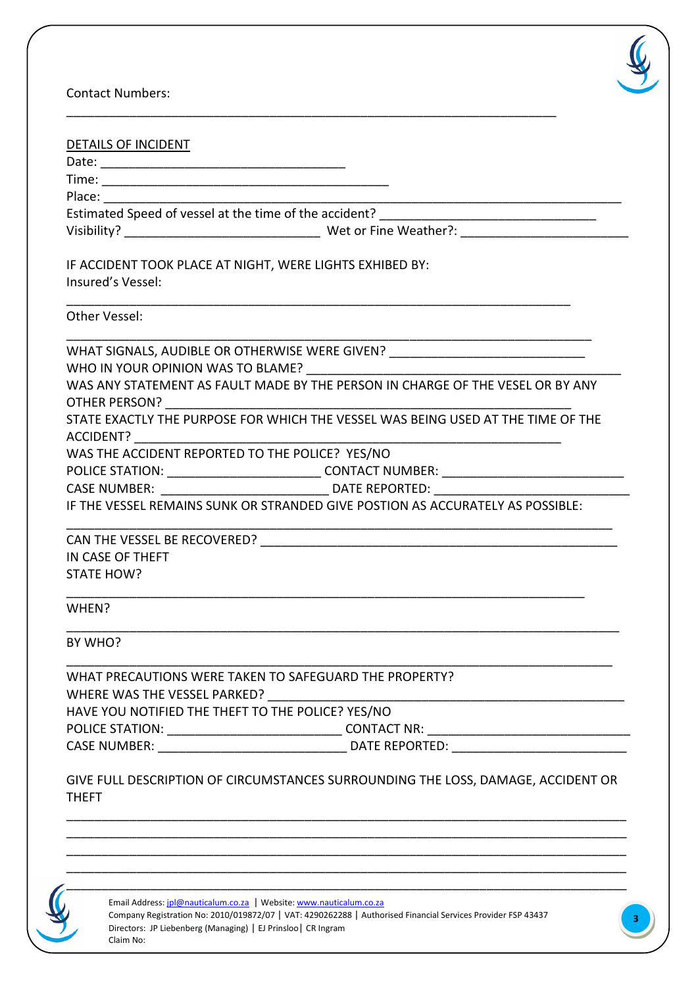

Contact Numbers:

| DETAILS OF INCIDENT                                                                              |
|--------------------------------------------------------------------------------------------------|
|                                                                                                  |
|                                                                                                  |
|                                                                                                  |
| Estimated Speed of vessel at the time of the accident? ________________________________          |
|                                                                                                  |
|                                                                                                  |
| IF ACCIDENT TOOK PLACE AT NIGHT, WERE LIGHTS EXHIBED BY:                                         |
| Insured's Vessel:                                                                                |
| Other Vessel:                                                                                    |
|                                                                                                  |
| WHAT SIGNALS, AUDIBLE OR OTHERWISE WERE GIVEN? _________________________________                 |
| WHO IN YOUR OPINION WAS TO BLAME? WHO IN YOUR OPINION                                            |
| WAS ANY STATEMENT AS FAULT MADE BY THE PERSON IN CHARGE OF THE VESEL OR BY ANY                   |
|                                                                                                  |
| STATE EXACTLY THE PURPOSE FOR WHICH THE VESSEL WAS BEING USED AT THE TIME OF THE                 |
| ACCIDENT?                                                                                        |
| WAS THE ACCIDENT REPORTED TO THE POLICE? YES/NO                                                  |
|                                                                                                  |
|                                                                                                  |
| IF THE VESSEL REMAINS SUNK OR STRANDED GIVE POSTION AS ACCURATELY AS POSSIBLE:                   |
|                                                                                                  |
| IN CASE OF THEFT                                                                                 |
| STATE HOW?                                                                                       |
|                                                                                                  |
| WHEN?                                                                                            |
| BY WHO?                                                                                          |
| WHAT PRECAUTIONS WERE TAKEN TO SAFEGUARD THE PROPERTY?                                           |
| WHERE WAS THE VESSEL PARKED?                                                                     |
| HAVE YOU NOTIFIED THE THEFT TO THE POLICE? YES/NO                                                |
|                                                                                                  |
|                                                                                                  |
|                                                                                                  |
| GIVE FULL DESCRIPTION OF CIRCUMSTANCES SURROUNDING THE LOSS, DAMAGE, ACCIDENT OR<br><b>THEFT</b> |

\_\_\_\_\_\_\_\_\_\_\_\_\_\_\_\_\_\_\_\_\_\_\_\_\_\_\_\_\_\_\_\_\_\_\_\_\_\_\_\_\_\_\_\_\_\_\_\_\_\_\_\_\_\_\_\_\_\_\_\_\_\_\_\_\_\_\_\_\_\_

\_\_\_\_\_\_\_\_\_\_\_\_\_\_\_\_\_\_\_\_\_\_\_\_\_\_\_\_\_\_\_\_\_\_\_\_\_\_\_\_\_\_\_\_\_\_\_\_\_\_\_\_\_\_\_\_\_\_\_\_\_\_\_\_\_\_\_\_\_\_\_\_\_\_\_\_\_\_\_\_

Email Address[: jpl@nauticalum.co.za](mailto:jpl@nauticalum.co.za) | Website[: www.nauticalum.co.za](http://www.nauticalum.co.za/) Company Registration No: 2010/019872/07 | VAT: 4290262288 | Authorised Financial Services Provider FSP 43437 Directors: JP Liebenberg (Managing) | EJ Prinsloo| CR Ingram Claim No:

\_\_\_\_\_\_\_\_\_\_\_\_\_\_\_\_\_\_\_\_\_\_\_\_\_\_\_\_\_\_\_\_\_\_\_\_\_\_\_\_\_\_\_\_\_\_\_\_\_\_\_\_\_\_\_\_\_\_\_\_\_\_\_\_\_\_\_\_\_\_\_\_\_\_\_\_\_\_\_\_ \_\_\_\_\_\_\_\_\_\_\_\_\_\_\_\_\_\_\_\_\_\_\_\_\_\_\_\_\_\_\_\_\_\_\_\_\_\_\_\_\_\_\_\_\_\_\_\_\_\_\_\_\_\_\_\_\_\_\_\_\_\_\_\_\_\_\_\_\_\_\_\_\_\_\_\_\_\_\_\_ \_\_\_\_\_\_\_\_\_\_\_\_\_\_\_\_\_\_\_\_\_\_\_\_\_\_\_\_\_\_\_\_\_\_\_\_\_\_\_\_\_\_\_\_\_\_\_\_\_\_\_\_\_\_\_\_\_\_\_\_\_\_\_\_\_\_\_\_\_\_\_\_\_\_\_\_\_\_\_\_ \_\_\_\_\_\_\_\_\_\_\_\_\_\_\_\_\_\_\_\_\_\_\_\_\_\_\_\_\_\_\_\_\_\_\_\_\_\_\_\_\_\_\_\_\_\_\_\_\_\_\_\_\_\_\_\_\_\_\_\_\_\_\_\_\_\_\_\_\_\_\_\_\_\_\_\_\_\_\_\_

**3**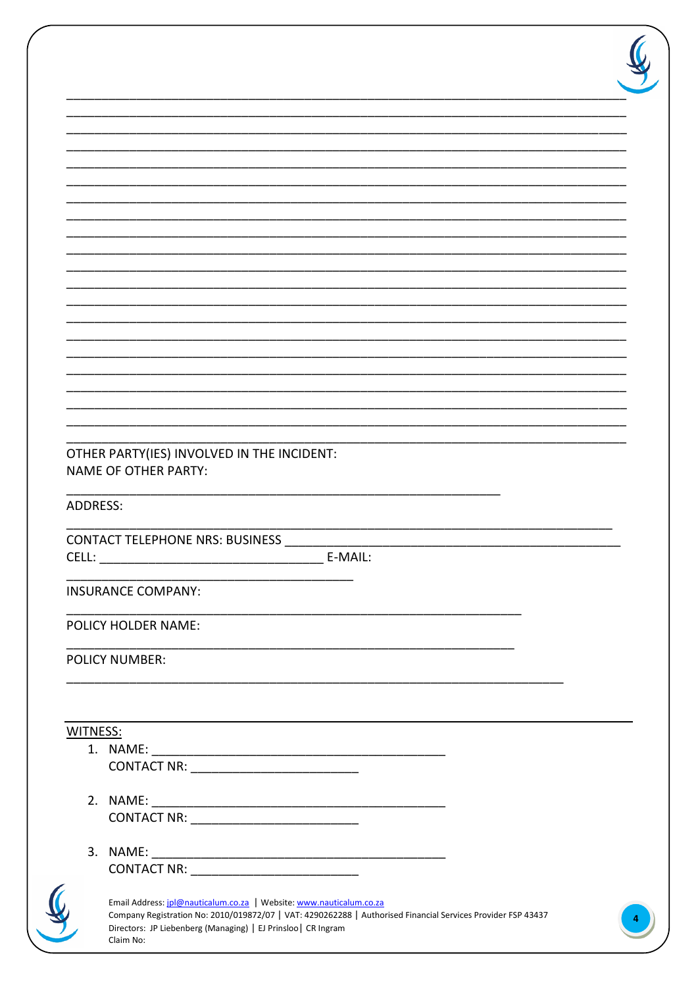|                 | <b>NAME OF OTHER PARTY:</b>                                                                                                                                                                                                                          |
|-----------------|------------------------------------------------------------------------------------------------------------------------------------------------------------------------------------------------------------------------------------------------------|
|                 |                                                                                                                                                                                                                                                      |
|                 | <b>CONTACT TELEPHONE NRS: BUSINESS</b>                                                                                                                                                                                                               |
|                 | <b>INSURANCE COMPANY:</b>                                                                                                                                                                                                                            |
| <b>ADDRESS:</b> | <b>POLICY HOLDER NAME:</b>                                                                                                                                                                                                                           |
|                 | <b>POLICY NUMBER:</b>                                                                                                                                                                                                                                |
|                 |                                                                                                                                                                                                                                                      |
|                 |                                                                                                                                                                                                                                                      |
|                 |                                                                                                                                                                                                                                                      |
|                 | CONTACT NR: _______________________________                                                                                                                                                                                                          |
|                 |                                                                                                                                                                                                                                                      |
|                 | CONTACT NR: ______________________________                                                                                                                                                                                                           |
|                 |                                                                                                                                                                                                                                                      |
| WITNESS:        | CONTACT NR: ______________________________                                                                                                                                                                                                           |
|                 |                                                                                                                                                                                                                                                      |
|                 | Email Address: jpl@nauticalum.co.za   Website: www.nauticalum.co.za<br>Company Registration No: 2010/019872/07   VAT: 4290262288   Authorised Financial Services Provider FSP 43437<br>Directors: JP Liebenberg (Managing)   EJ Prinsloo   CR Ingram |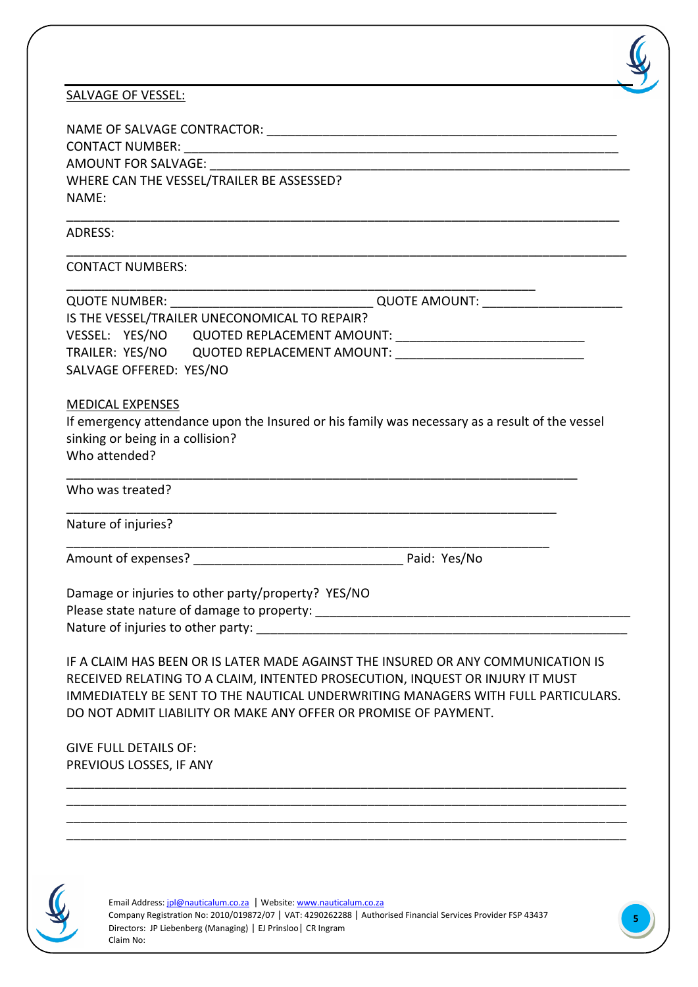|  | <b>SALVAGE OF VESSEL:</b> |  |  |  |
|--|---------------------------|--|--|--|
|--|---------------------------|--|--|--|

| <u>SALVAGE OF VESSEL:</u>                                                                                                                    |  |  |  |
|----------------------------------------------------------------------------------------------------------------------------------------------|--|--|--|
|                                                                                                                                              |  |  |  |
|                                                                                                                                              |  |  |  |
|                                                                                                                                              |  |  |  |
| WHERE CAN THE VESSEL/TRAILER BE ASSESSED?                                                                                                    |  |  |  |
| NAME:                                                                                                                                        |  |  |  |
| ADRESS:                                                                                                                                      |  |  |  |
| <b>CONTACT NUMBERS:</b>                                                                                                                      |  |  |  |
|                                                                                                                                              |  |  |  |
| IS THE VESSEL/TRAILER UNECONOMICAL TO REPAIR?                                                                                                |  |  |  |
|                                                                                                                                              |  |  |  |
|                                                                                                                                              |  |  |  |
| SALVAGE OFFERED: YES/NO                                                                                                                      |  |  |  |
| <b>MEDICAL EXPENSES</b>                                                                                                                      |  |  |  |
| If emergency attendance upon the Insured or his family was necessary as a result of the vessel                                               |  |  |  |
| sinking or being in a collision?                                                                                                             |  |  |  |
| Who attended?                                                                                                                                |  |  |  |
| Who was treated?                                                                                                                             |  |  |  |
| <u> 1980 - Johann Barn, mars ar breithinn ar chwaraeth a chwaraeth a chwaraeth a chwaraeth a chwaraeth a chwaraet</u><br>Nature of injuries? |  |  |  |
|                                                                                                                                              |  |  |  |
| Damage or injuries to other party/property? YES/NO                                                                                           |  |  |  |
| Please state nature of damage to property:                                                                                                   |  |  |  |
|                                                                                                                                              |  |  |  |
| IF A CLAIM HAS BEEN OR IS LATER MADE AGAINST THE INSURED OR ANY COMMUNICATION IS                                                             |  |  |  |
| RECEIVED RELATING TO A CLAIM, INTENTED PROSECUTION, INQUEST OR INJURY IT MUST                                                                |  |  |  |
| IMMEDIATELY BE SENT TO THE NAUTICAL UNDERWRITING MANAGERS WITH FULL PARTICULARS.                                                             |  |  |  |
| DO NOT ADMIT LIABILITY OR MAKE ANY OFFER OR PROMISE OF PAYMENT.                                                                              |  |  |  |
| <b>GIVE FULL DETAILS OF:</b>                                                                                                                 |  |  |  |
| PREVIOUS LOSSES, IF ANY                                                                                                                      |  |  |  |
|                                                                                                                                              |  |  |  |
|                                                                                                                                              |  |  |  |

\_\_\_\_\_\_\_\_\_\_\_\_\_\_\_\_\_\_\_\_\_\_\_\_\_\_\_\_\_\_\_\_\_\_\_\_\_\_\_\_\_\_\_\_\_\_\_\_\_\_\_\_\_\_\_\_\_\_\_\_\_\_\_\_\_\_\_\_\_\_\_\_\_\_\_\_\_\_\_\_ \_\_\_\_\_\_\_\_\_\_\_\_\_\_\_\_\_\_\_\_\_\_\_\_\_\_\_\_\_\_\_\_\_\_\_\_\_\_\_\_\_\_\_\_\_\_\_\_\_\_\_\_\_\_\_\_\_\_\_\_\_\_\_\_\_\_\_\_\_\_\_\_\_\_\_\_\_\_\_\_